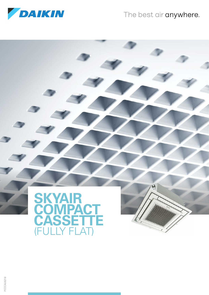

### The best air anywhere.



PCCCAU0218 PCCCAU0218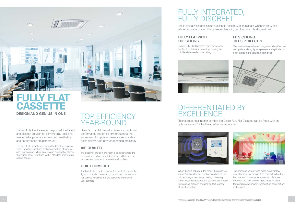Daikin's Fully Flat Cassette is a powerful, efficient and discreet solution for commercial, retail and residential applications where both aesthetics and performance are paramount.

The Fully Flat Cassette combines the latest technology with innovative functions for high operating efficiency and user comfort, all within a unique design that allows the visible panel to fit flush within standard architectural ceiling panels.



The Fully Flat Cassette is a unique iconic design with an elegant white finish with a white decoration panel. The cassette blends in, resulting in a fully discreet unit.

# DIFFERENTIATED BY **EXCELLENCE**

### TOP EFFICIENCY YEAR-ROUND

Daikin's Fully Flat Cassette delivers exceptional performance and efficiency throughout the entire year. An optional presence sensor also helps deliver even greater operating efficiency

#### **AIR QUALITY**

The quality of the air in the room is as important as the temperature and we have fitted advanced filters to help remove dust particles to ensure the air is clean.

#### **QUIET COMFORT**

The Fully Flat Cassette is one of the quietest units in the light commercial market and, in addition to the sensors, has various functions that are designed to enhance user comfort.

To ensure perfect interior comfort the Daikin Fully Flat Cassette can be fitted with an optional sensor\* linked to an advanced controller.



#### **FITS CEILING TILES PERFECTLY**

The newly designed panel integrates fully within one ceiling tile enabling lights, speakers and sprinklers to be in stalled in the adjoining ceiling tiles.







The presence sensor\* also helps direct airflow away from you for draught free comfort. While the floor sensor\* monitors temperature difference between the floor and ceiling to maintain even temperature and prevent temperature stratification in the space.

#### **FULLY FLAT WITH THE CEILING**

Daikin's Fully Flat Cassette is the first cassette that fits fully flat with the ceiling, making the unit blend discreetly in the ceiling.



When there is nobody in the room, the presence sensor\* adjusts the set point or switches off the unit, avoiding unneccesary cooling or heating. When motion is detected the temperature is reset to its original setpoint ensuring perfect, energy efficient operation.

# **DESIGN AND GENIUS IN ONE FULLY CASSETTE**

 $514m$ 

MN

**IT WASHINGTON**